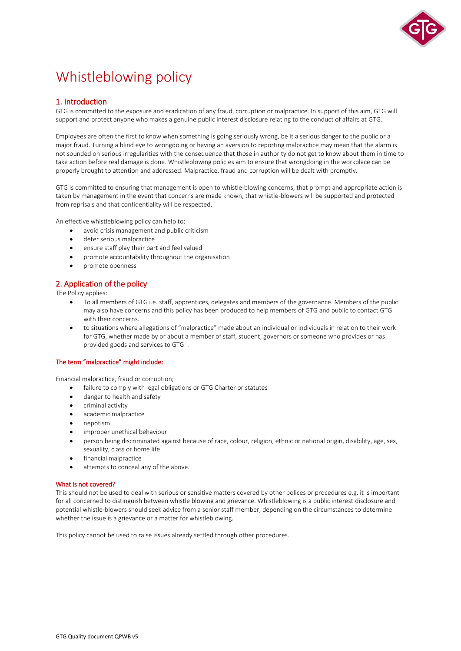

# Whistleblowing policy

# 1. Introduction

GTG is committed to the exposure and eradication of any fraud, corruption or malpractice. In support of this aim, GTG will support and protect anyone who makes a genuine public interest disclosure relating to the conduct of affairs at GTG.

Employees are often the first to know when something is going seriously wrong, be it a serious danger to the public or a major fraud. Turning a blind eye to wrongdoing or having an aversion to reporting malpractice may mean that the alarm is not sounded on serious irregularities with the consequence that those in authority do not get to know about them in time to take action before real damage is done. Whistleblowing policies aim to ensure that wrongdoing in the workplace can be properly brought to attention and addressed. Malpractice, fraud and corruption will be dealt with promptly.

GTG is committed to ensuring that management is open to whistle-blowing concerns, that prompt and appropriate action is taken by management in the event that concerns are made known, that whistle-blowers will be supported and protected from reprisals and that confidentiality will be respected.

An effective whistleblowing policy can help to:

- avoid crisis management and public criticism
- deter serious malpractice
- ensure staff play their part and feel valued
- promote accountability throughout the organisation
- promote openness

# 2. Application of the policy

The Policy applies:

- To all members of GTG i.e. staff, apprentices, delegates and members of the governance. Members of the public may also have concerns and this policy has been produced to help members of GTG and public to contact GTG with their concerns.
- to situations where allegations of "malpractice" made about an individual or individuals in relation to their work for GTG, whether made by or about a member of staff, student, governors or someone who provides or has provided goods and services to GTG .

# The term "malpractice" might include:

Financial malpractice, fraud or corruption;

- failure to comply with legal obligations or GTG Charter or statutes
- danger to health and safety
- criminal activity
- academic malpractice
- nepotism
- improper unethical behaviour
- person being discriminated against because of race, colour, religion, ethnic or national origin, disability, age, sex, sexuality, class or home life
- financial malpractice
- attempts to conceal any of the above.

# What is not covered?

This should not be used to deal with serious or sensitive matters covered by other polices or procedures e.g. it is important for all concerned to distinguish between whistle blowing and grievance. Whistleblowing is a public interest disclosure and potential whistle-blowers should seek advice from a senior staff member, depending on the circumstances to determine whether the issue is a grievance or a matter for whistleblowing.

This policy cannot be used to raise issues already settled through other procedures.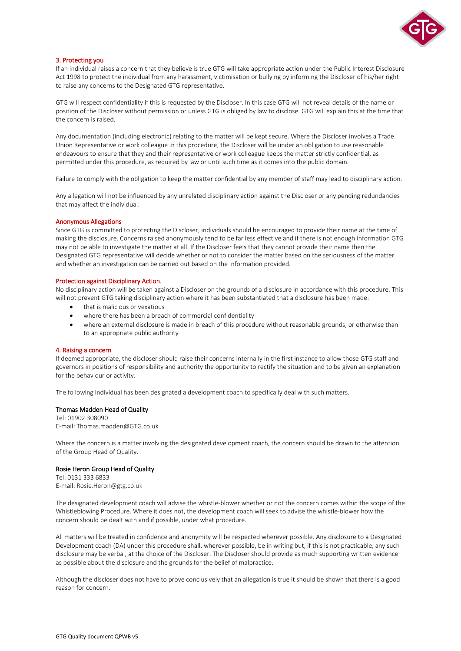

# 3. Protecting you

If an individual raises a concern that they believe is true GTG will take appropriate action under the Public Interest Disclosure Act 1998 to protect the individual from any harassment, victimisation or bullying by informing the Discloser of his/her right to raise any concerns to the Designated GTG representative.

GTG will respect confidentiality if this is requested by the Discloser. In this case GTG will not reveal details of the name or position of the Discloser without permission or unless GTG is obliged by law to disclose. GTG will explain this at the time that the concern is raised.

Any documentation (including electronic) relating to the matter will be kept secure. Where the Discloser involves a Trade Union Representative or work colleague in this procedure, the Discloser will be under an obligation to use reasonable endeavours to ensure that they and their representative or work colleague keeps the matter strictly confidential, as permitted under this procedure, as required by law or until such time as it comes into the public domain.

Failure to comply with the obligation to keep the matter confidential by any member of staff may lead to disciplinary action.

Any allegation will not be influenced by any unrelated disciplinary action against the Discloser or any pending redundancies that may affect the individual.

#### Anonymous Allegations

Since GTG is committed to protecting the Discloser, individuals should be encouraged to provide their name at the time of making the disclosure. Concerns raised anonymously tend to be far less effective and if there is not enough information GTG may not be able to investigate the matter at all. If the Discloser feels that they cannot provide their name then the Designated GTG representative will decide whether or not to consider the matter based on the seriousness of the matter and whether an investigation can be carried out based on the information provided.

#### Protection against Disciplinary Action.

No disciplinary action will be taken against a Discloser on the grounds of a disclosure in accordance with this procedure. This will not prevent GTG taking disciplinary action where it has been substantiated that a disclosure has been made:

- that is malicious or vexatious
- where there has been a breach of commercial confidentiality
- where an external disclosure is made in breach of this procedure without reasonable grounds, or otherwise than to an appropriate public authority

#### 4. Raising a concern

If deemed appropriate, the discloser should raise their concerns internally in the first instance to allow those GTG staff and governors in positions of responsibility and authority the opportunity to rectify the situation and to be given an explanation for the behaviour or activity.

The following individual has been designated a development coach to specifically deal with such matters.

#### Thomas Madden Head of Quality

Tel: 01902 308090 E-mail: Thomas.madden@GTG.co.uk

Where the concern is a matter involving the designated development coach, the concern should be drawn to the attention of the Group Head of Quality.

### Rosie Heron Group Head of Quality

Tel: 0131 333 6833 E-mail: [Rosie.Heron@gtg.co.uk](mailto:Rosie.Heron@gtg.co.uk)

The designated development coach will advise the whistle-blower whether or not the concern comes within the scope of the Whistleblowing Procedure. Where it does not, the development coach will seek to advise the whistle-blower how the concern should be dealt with and if possible, under what procedure.

All matters will be treated in confidence and anonymity will be respected wherever possible. Any disclosure to a Designated Development coach (DA) under this procedure shall, wherever possible, be in writing but, if this is not practicable, any such disclosure may be verbal, at the choice of the Discloser. The Discloser should provide as much supporting written evidence as possible about the disclosure and the grounds for the belief of malpractice.

Although the discloser does not have to prove conclusively that an allegation is true it should be shown that there is a good reason for concern.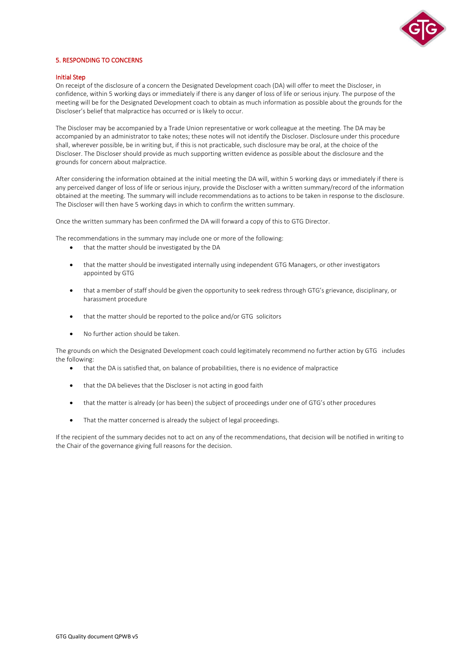

# 5. RESPONDING TO CONCERNS

#### Initial Step

On receipt of the disclosure of a concern the Designated Development coach (DA) will offer to meet the Discloser, in confidence, within 5 working days or immediately if there is any danger of loss of life or serious injury. The purpose of the meeting will be for the Designated Development coach to obtain as much information as possible about the grounds for the Discloser's belief that malpractice has occurred or is likely to occur.

The Discloser may be accompanied by a Trade Union representative or work colleague at the meeting. The DA may be accompanied by an administrator to take notes; these notes will not identify the Discloser. Disclosure under this procedure shall, wherever possible, be in writing but, if this is not practicable, such disclosure may be oral, at the choice of the Discloser. The Discloser should provide as much supporting written evidence as possible about the disclosure and the grounds for concern about malpractice.

After considering the information obtained at the initial meeting the DA will, within 5 working days or immediately if there is any perceived danger of loss of life or serious injury, provide the Discloser with a written summary/record of the information obtained at the meeting. The summary will include recommendations as to actions to be taken in response to the disclosure. The Discloser will then have 5 working days in which to confirm the written summary.

Once the written summary has been confirmed the DA will forward a copy of this to GTG Director.

The recommendations in the summary may include one or more of the following:

- that the matter should be investigated by the DA
- that the matter should be investigated internally using independent GTG Managers, or other investigators appointed by GTG
- that a member of staff should be given the opportunity to seek redress through GTG's grievance, disciplinary, or harassment procedure
- that the matter should be reported to the police and/or GTG solicitors
- No further action should be taken.

The grounds on which the Designated Development coach could legitimately recommend no further action by GTG includes the following:

- that the DA is satisfied that, on balance of probabilities, there is no evidence of malpractice
- that the DA believes that the Discloser is not acting in good faith
- that the matter is already (or has been) the subject of proceedings under one of GTG's other procedures
- That the matter concerned is already the subject of legal proceedings.

If the recipient of the summary decides not to act on any of the recommendations, that decision will be notified in writing to the Chair of the governance giving full reasons for the decision.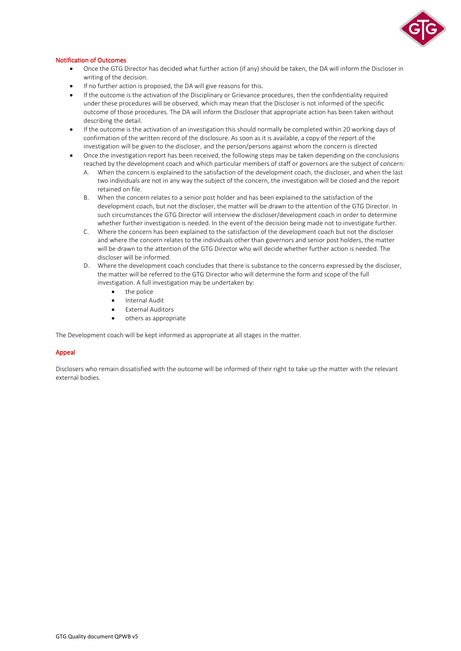

# Notification of Outcomes

- Once the GTG Director has decided what further action (if any) should be taken, the DA will inform the Discloser in writing of the decision.
- If no further action is proposed, the DA will give reasons for this.
- If the outcome is the activation of the Disciplinary or Grievance procedures, then the confidentiality required under these procedures will be observed, which may mean that the Discloser is not informed of the specific outcome of those procedures. The DA will inform the Discloser that appropriate action has been taken without describing the detail.
- If the outcome is the activation of an investigation this should normally be completed within 20 working days of confirmation of the written record of the disclosure. As soon as it is available, a copy of the report of the investigation will be given to the discloser, and the person/persons against whom the concern is directed
- Once the investigation report has been received, the following steps may be taken depending on the conclusions reached by the development coach and which particular members of staff or governors are the subject of concern:
	- A. When the concern is explained to the satisfaction of the development coach, the discloser, and when the last two individuals are not in any way the subject of the concern, the investigation will be closed and the report retained on file.
	- B. When the concern relates to a senior post holder and has been explained to the satisfaction of the development coach, but not the discloser, the matter will be drawn to the attention of the GTG Director. In such circumstances the GTG Director will interview the discloser/development coach in order to determine whether further investigation is needed. In the event of the decision being made not to investigate further.
	- C. Where the concern has been explained to the satisfaction of the development coach but not the discloser and where the concern relates to the individuals other than governors and senior post holders, the matter will be drawn to the attention of the GTG Director who will decide whether further action is needed. The discloser will be informed.
	- D. Where the development coach concludes that there is substance to the concerns expressed by the discloser, the matter will be referred to the GTG Director who will determine the form and scope of the full investigation. A full investigation may be undertaken by:
		- the police
		- Internal Audit
		- **External Auditors**
		- others as appropriate

The Development coach will be kept informed as appropriate at all stages in the matter.

# Appeal

Disclosers who remain dissatisfied with the outcome will be informed of their right to take up the matter with the relevant external bodies.